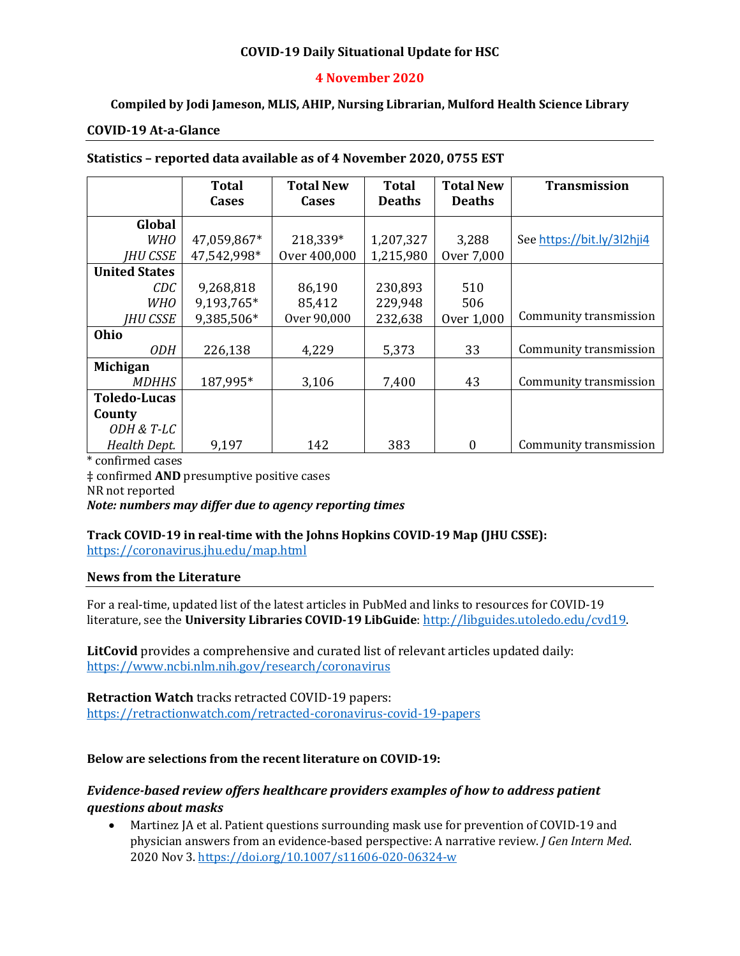## **COVID-19 Daily Situational Update for HSC**

### **4 November 2020**

## **Compiled by Jodi Jameson, MLIS, AHIP, Nursing Librarian, Mulford Health Science Library**

#### **COVID-19 At-a-Glance**

| Statistics - reported data available as of 4 November 2020, 0755 EST |  |
|----------------------------------------------------------------------|--|
|----------------------------------------------------------------------|--|

|                      | Total       | <b>Total New</b> | <b>Total</b>  | <b>Total New</b> | <b>Transmission</b>        |
|----------------------|-------------|------------------|---------------|------------------|----------------------------|
|                      | Cases       | Cases            | <b>Deaths</b> | <b>Deaths</b>    |                            |
| Global               |             |                  |               |                  |                            |
| <i>WHO</i>           | 47,059,867* | 218,339*         | 1,207,327     | 3,288            | See https://bit.ly/3l2hji4 |
| <b>IHU CSSE</b>      | 47,542,998* | Over 400,000     | 1,215,980     | Over 7,000       |                            |
| <b>United States</b> |             |                  |               |                  |                            |
| CDC                  | 9,268,818   | 86,190           | 230,893       | 510              |                            |
| <b>WHO</b>           | 9,193,765*  | 85,412           | 229,948       | 506              |                            |
| <b>IHU CSSE</b>      | 9,385,506*  | Over 90,000      | 232,638       | Over 1,000       | Community transmission     |
| Ohio                 |             |                  |               |                  |                            |
| <i>ODH</i>           | 226,138     | 4,229            | 5,373         | 33               | Community transmission     |
| Michigan             |             |                  |               |                  |                            |
| <i>MDHHS</i>         | 187,995*    | 3,106            | 7,400         | 43               | Community transmission     |
| <b>Toledo-Lucas</b>  |             |                  |               |                  |                            |
| County               |             |                  |               |                  |                            |
| ODH & T-LC           |             |                  |               |                  |                            |
| Health Dept.         | 9,197       | 142              | 383           | $\theta$         | Community transmission     |

\* confirmed cases ‡ confirmed **AND** presumptive positive cases NR not reported *Note: numbers may differ due to agency reporting times* 

# **Track COVID-19 in real-time with the Johns Hopkins COVID-19 Map (JHU CSSE):**

<https://coronavirus.jhu.edu/map.html>

#### **News from the Literature**

For a real-time, updated list of the latest articles in PubMed and links to resources for COVID-19 literature, see the **University Libraries COVID-19 LibGuide**[: http://libguides.utoledo.edu/cvd19.](http://libguides.utoledo.edu/cvd19) 

**LitCovid** provides a comprehensive and curated list of relevant articles updated daily: <https://www.ncbi.nlm.nih.gov/research/coronavirus>

**Retraction Watch** tracks retracted COVID-19 papers: [https://retractionwatch.com/retracted-coronavirus-covid-19-papers](https://retractionwatch.com/retracted-coronavirus-covid-19-papers/)

### **Below are selections from the recent literature on COVID-19:**

# *Evidence-based review offers healthcare providers examples of how to address patient questions about masks*

• Martinez JA et al. Patient questions surrounding mask use for prevention of COVID-19 and physician answers from an evidence-based perspective: A narrative review. *J Gen Intern Med*. 2020 Nov 3. <https://doi.org/10.1007/s11606-020-06324-w>